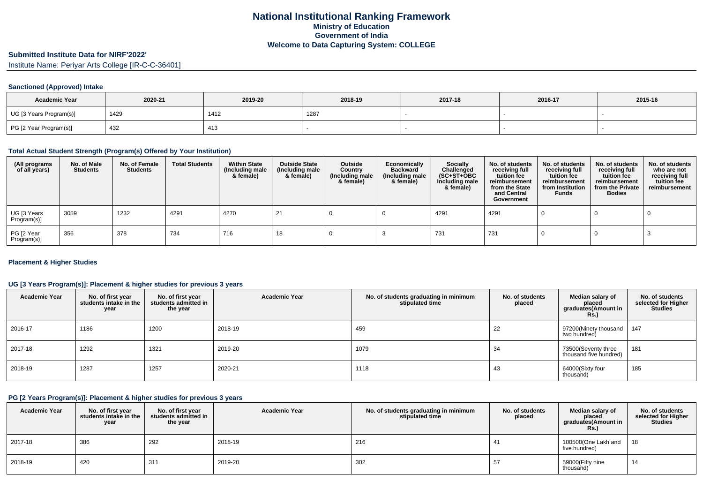## **Submitted Institute Data for NIRF'2022'**

Institute Name: Periyar Arts College [IR-C-C-36401]

## **Sanctioned (Approved) Intake**

| <b>Academic Year</b>    | 2020-21 | 2019-20 | 2018-19 | 2017-18 | 2016-17 | 2015-16 |
|-------------------------|---------|---------|---------|---------|---------|---------|
| UG [3 Years Program(s)] | 1425    | 1412    | 1287    |         |         |         |
| PG [2 Year Program(s)]  | 432     | 413     |         |         |         |         |

## **Total Actual Student Strength (Program(s) Offered by Your Institution)**

| (All programs<br>of all years) | No. of Male<br><b>Students</b> | No. of Female<br><b>Students</b> | <b>Total Students</b> | <b>Within State</b><br>(Including male<br>& female) | <b>Outside State</b><br>(Including male<br>& female) | Outside<br>Country<br>(Including male<br>& female) | Economically<br><b>Backward</b><br>(Including male<br>& female) | <b>Socially</b><br>Challenged<br>$(SC+ST+OBC)$<br>Including male<br>& female) | No. of students<br>receiving full<br>tuition fee<br>reimbursement<br>from the State<br>and Central<br>Government | No. of students<br>receiving full<br>tuition fee<br>reimbursement<br>from Institution<br><b>Funds</b> | No. of students<br>receiving full<br>tuition fee<br>reimbursement<br>from the Private<br><b>Bodies</b> | No. of students<br>who are not<br>receiving full<br>tuition fee<br>reimbursement |
|--------------------------------|--------------------------------|----------------------------------|-----------------------|-----------------------------------------------------|------------------------------------------------------|----------------------------------------------------|-----------------------------------------------------------------|-------------------------------------------------------------------------------|------------------------------------------------------------------------------------------------------------------|-------------------------------------------------------------------------------------------------------|--------------------------------------------------------------------------------------------------------|----------------------------------------------------------------------------------|
| UG [3 Years<br>Program(s)]     | 3059                           | 1232                             | 4291                  | 4270                                                | 21                                                   |                                                    |                                                                 | 4291                                                                          | 4291                                                                                                             |                                                                                                       |                                                                                                        |                                                                                  |
| PG [2 Year<br>Program(s)]      | 356                            | 378                              | 734                   | 716                                                 | 18                                                   |                                                    |                                                                 | 731                                                                           | 731                                                                                                              |                                                                                                       |                                                                                                        |                                                                                  |

## **Placement & Higher Studies**

## **UG [3 Years Program(s)]: Placement & higher studies for previous 3 years**

| <b>Academic Year</b> | No. of first year<br>students intake in the<br>year | No. of first year<br>students admitted in<br>the year | <b>Academic Year</b> | No. of students graduating in minimum<br>stipulated time | No. of students<br>placed | Median salary of<br>placed<br>graduates(Amount in<br><b>Rs.)</b> | No. of students<br>selected for Higher<br><b>Studies</b> |
|----------------------|-----------------------------------------------------|-------------------------------------------------------|----------------------|----------------------------------------------------------|---------------------------|------------------------------------------------------------------|----------------------------------------------------------|
| 2016-17              | 1186                                                | 1200                                                  | 2018-19              | 459                                                      | 22                        | 97200(Ninety thousand<br>two hundred)                            | 147                                                      |
| 2017-18              | 1292                                                | 1321                                                  | 2019-20              | 1079                                                     | 34                        | 73500(Seventy three<br>thousand five hundred)                    | 181                                                      |
| 2018-19              | 1287                                                | 1257                                                  | 2020-21              | 1118                                                     | 43                        | 64000(Sixty four<br>thousand)                                    | 185                                                      |

#### **PG [2 Years Program(s)]: Placement & higher studies for previous 3 years**

| <b>Academic Year</b> | No. of first year<br>students intake in the<br>year | No. of first vear<br>students admitted in<br>the year | <b>Academic Year</b> | No. of students graduating in minimum<br>stipulated time | No. of students<br>placed | Median salary of<br>placed<br>graduates(Amount in<br><b>Rs.)</b> | No. of students<br>selected for Higher<br><b>Studies</b> |
|----------------------|-----------------------------------------------------|-------------------------------------------------------|----------------------|----------------------------------------------------------|---------------------------|------------------------------------------------------------------|----------------------------------------------------------|
| 2017-18              | 386                                                 | 292                                                   | 2018-19              | 216                                                      | 41                        | 100500(One Lakh and<br>five hundred)                             | 18                                                       |
| 2018-19              | 420                                                 | 31 <sup>1</sup>                                       | 2019-20              | 302                                                      | $\cdot$                   | 59000(Fifty nine<br>thousand)                                    | 14                                                       |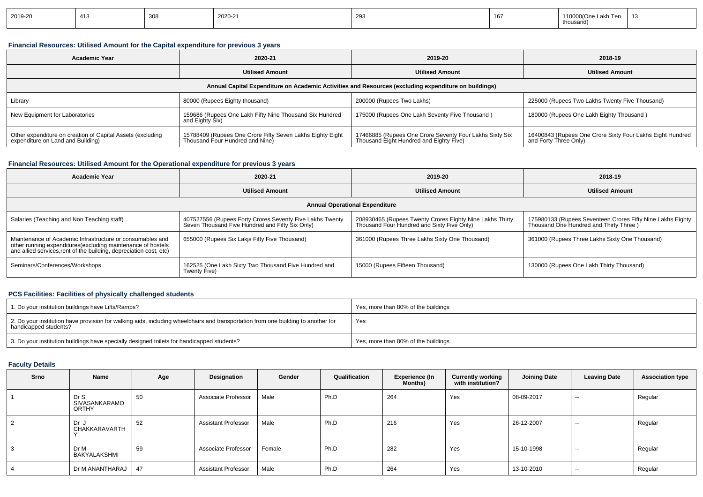| 2019-20 | 413 | ാററ<br>wu | 2020-21 | 293 | 167 | Lakh Ten<br>. <i>.</i> .<br>thousand) | $\overline{\phantom{a}}$<br>່ເບ |
|---------|-----|-----------|---------|-----|-----|---------------------------------------|---------------------------------|
|---------|-----|-----------|---------|-----|-----|---------------------------------------|---------------------------------|

## **Financial Resources: Utilised Amount for the Capital expenditure for previous 3 years**

| <b>Academic Year</b>                                                                                 | 2020-21                                                                                      | 2019-20                                                                                            | 2018-19                                                                            |  |  |  |  |  |
|------------------------------------------------------------------------------------------------------|----------------------------------------------------------------------------------------------|----------------------------------------------------------------------------------------------------|------------------------------------------------------------------------------------|--|--|--|--|--|
|                                                                                                      | <b>Utilised Amount</b>                                                                       | <b>Utilised Amount</b>                                                                             | <b>Utilised Amount</b>                                                             |  |  |  |  |  |
| Annual Capital Expenditure on Academic Activities and Resources (excluding expenditure on buildings) |                                                                                              |                                                                                                    |                                                                                    |  |  |  |  |  |
| Library                                                                                              | 80000 (Rupees Eighty thousand)                                                               | 200000 (Rupees Two Lakhs)                                                                          | 225000 (Rupees Two Lakhs Twenty Five Thousand)                                     |  |  |  |  |  |
| New Equipment for Laboratories                                                                       | 159686 (Rupees One Lakh Fifty Nine Thousand Six Hundred<br>and Eighty Six)                   | 175000 (Rupees One Lakh Seventy Five Thousand)                                                     | 180000 (Rupees One Lakh Eighty Thousand)                                           |  |  |  |  |  |
| Other expenditure on creation of Capital Assets (excluding<br>expenditure on Land and Building)      | 15788409 (Rupees One Crore Fifty Seven Lakhs Eighty Eight<br>Thousand Four Hundred and Nine) | 17466885 (Rupees One Crore Seventy Four Lakhs Sixty Six<br>Thousand Eight Hundred and Eighty Five) | 16400843 (Rupees One Crore Sixty Four Lakhs Eight Hundred<br>and Forty Three Only) |  |  |  |  |  |

## **Financial Resources: Utilised Amount for the Operational expenditure for previous 3 years**

| <b>Academic Year</b>                                                                                                                                                                            | 2020-21                                                                                                     | 2019-20                                                                                                | 2018-19                                                                                               |  |
|-------------------------------------------------------------------------------------------------------------------------------------------------------------------------------------------------|-------------------------------------------------------------------------------------------------------------|--------------------------------------------------------------------------------------------------------|-------------------------------------------------------------------------------------------------------|--|
|                                                                                                                                                                                                 | <b>Utilised Amount</b>                                                                                      |                                                                                                        | <b>Utilised Amount</b>                                                                                |  |
|                                                                                                                                                                                                 |                                                                                                             | <b>Annual Operational Expenditure</b>                                                                  |                                                                                                       |  |
| Salaries (Teaching and Non Teaching staff)                                                                                                                                                      | 407527556 (Rupees Forty Crores Seventy Five Lakhs Twenty<br>Seven Thousand Five Hundred and Fifty Six Only) | 208930465 (Rupees Twenty Crores Eighty Nine Lakhs Thirty<br>Thousand Four Hundred and Sixty Five Only) | 175980133 (Rupees Seventeen Crores Fifty Nine Lakhs Eighty<br>Thousand One Hundred and Thirty Three ) |  |
| Maintenance of Academic Infrastructure or consumables and<br>other running expenditures (excluding maintenance of hostels<br>and allied services, rent of the building, depreciation cost, etc) | 655000 (Rupees Six Lakjs Fifty Five Thousand)                                                               | 361000 (Rupees Three Lakhs Sixty One Thousand)                                                         | 361000 (Rupees Three Lakhs Sixty One Thousand)                                                        |  |
| Seminars/Conferences/Workshops                                                                                                                                                                  | 162525 (One Lakh Sixty Two Thousand Five Hundred and<br>Twenty Five)                                        | 15000 (Rupees Fifteen Thousand)                                                                        | 130000 (Rupees One Lakh Thirty Thousand)                                                              |  |

# **PCS Facilities: Facilities of physically challenged students**

| 1. Do your institution buildings have Lifts/Ramps?                                                                                                         | Yes, more than 80% of the buildings |
|------------------------------------------------------------------------------------------------------------------------------------------------------------|-------------------------------------|
| 2. Do your institution have provision for walking aids, including wheelchairs and transportation from one building to another for<br>handicapped students? | Yes                                 |
| 3. Do your institution buildings have specially designed toilets for handicapped students?                                                                 | Yes, more than 80% of the buildings |

## **Faculty Details**

| Srno | Name                                  | Age | Designation                | Gender | Qualification | <b>Experience (In</b><br>Months) | <b>Currently working</b><br>with institution? | <b>Joining Date</b> | <b>Leaving Date</b> | <b>Association type</b> |
|------|---------------------------------------|-----|----------------------------|--------|---------------|----------------------------------|-----------------------------------------------|---------------------|---------------------|-------------------------|
|      | Dr S<br>SIVASANKARAMO<br><b>ORTHY</b> | 50  | Associate Professor        | Male   | Ph.D          | 264                              | Yes                                           | 08-09-2017          | $- -$               | Regular                 |
|      | Dr J<br>CHAKKARAVARTH                 | 52  | <b>Assistant Professor</b> | Male   | Ph.D          | 216                              | Yes                                           | 26-12-2007          | $- -$               | Regular                 |
|      | Dr M<br>BAKYALAKSHMI                  | 59  | Associate Professor        | Female | Ph.D          | 282                              | Yes                                           | 15-10-1998          | $- -$               | Regular                 |
|      | Dr M ANANTHARAJ                       | 47  | <b>Assistant Professor</b> | Male   | Ph.D          | 264                              | Yes                                           | 13-10-2010          | $- -$               | Regular                 |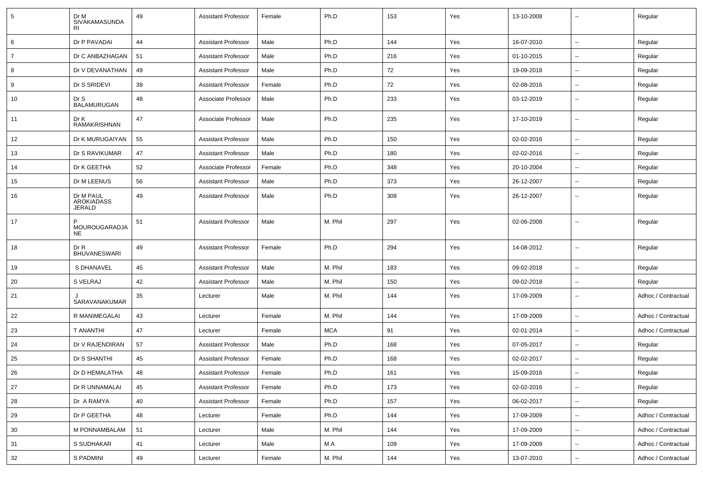| $5\overline{5}$ | Dr M<br>SIVAKAMASUNDA<br><b>RI</b>       | 49 | <b>Assistant Professor</b> | Female | Ph.D       | 153 | Yes | 13-10-2008 | $\overline{a}$           | Regular             |
|-----------------|------------------------------------------|----|----------------------------|--------|------------|-----|-----|------------|--------------------------|---------------------|
| 6               | Dr P PAVADAI                             | 44 | <b>Assistant Professor</b> | Male   | Ph.D       | 144 | Yes | 16-07-2010 | $\overline{\phantom{a}}$ | Regular             |
| $\overline{7}$  | Dr C ANBAZHAGAN                          | 51 | <b>Assistant Professor</b> | Male   | Ph.D       | 216 | Yes | 01-10-2015 | $\overline{\phantom{a}}$ | Regular             |
| 8               | Dr V DEVANATHAN                          | 49 | <b>Assistant Professor</b> | Male   | Ph.D       | 72  | Yes | 19-09-2018 | --                       | Regular             |
| 9               | Dr S SRIDEVI                             | 39 | <b>Assistant Professor</b> | Female | Ph.D       | 72  | Yes | 02-08-2016 | $\overline{\phantom{a}}$ | Regular             |
| 10              | Dr S<br>BALAMURUGAN                      | 48 | Associate Professor        | Male   | Ph.D       | 233 | Yes | 03-12-2019 | Ξ.                       | Regular             |
| 11              | Dr K<br>RAMAKRISHNAN                     | 47 | Associate Professor        | Male   | Ph.D       | 235 | Yes | 17-10-2019 | Щ,                       | Regular             |
| 12              | Dr K MURUGAIYAN                          | 55 | <b>Assistant Professor</b> | Male   | Ph.D       | 150 | Yes | 02-02-2016 | Ξ.                       | Regular             |
| 13              | Dr S RAVIKUMAR                           | 47 | <b>Assistant Professor</b> | Male   | Ph.D       | 180 | Yes | 02-02-2016 | $\overline{\phantom{a}}$ | Regular             |
| 14              | Dr K GEETHA                              | 52 | Associate Professor        | Female | Ph.D       | 348 | Yes | 20-10-2004 | $\overline{\phantom{a}}$ | Regular             |
| 15              | Dr M LEENUS                              | 56 | <b>Assistant Professor</b> | Male   | Ph.D       | 373 | Yes | 26-12-2007 | $\overline{\phantom{a}}$ | Regular             |
| 16              | Dr M PAUL<br>AROKIADASS<br><b>JERALD</b> | 49 | <b>Assistant Professor</b> | Male   | Ph.D       | 308 | Yes | 26-12-2007 | --                       | Regular             |
| 17              | MOUROUGARADJA<br><b>NE</b>               | 51 | <b>Assistant Professor</b> | Male   | M. Phil    | 297 | Yes | 02-06-2008 | $\overline{\phantom{a}}$ | Regular             |
| 18              | Dr R<br><b>BHUVANESWARI</b>              | 49 | <b>Assistant Professor</b> | Female | Ph.D       | 294 | Yes | 14-08-2012 | $\overline{\phantom{a}}$ | Regular             |
| 19              | S DHANAVEL                               | 45 | <b>Assistant Professor</b> | Male   | M. Phil    | 183 | Yes | 09-02-2018 | $\overline{\phantom{a}}$ | Regular             |
| 20              | S VELRAJ                                 | 42 | <b>Assistant Professor</b> | Male   | M. Phil    | 150 | Yes | 09-02-2018 | Щ,                       | Regular             |
| 21              | SARAVANAKUMAR                            | 35 | Lecturer                   | Male   | M. Phil    | 144 | Yes | 17-09-2009 | --                       | Adhoc / Contractual |
| 22              | R MANIMEGALAI                            | 43 | Lecturer                   | Female | M. Phil    | 144 | Yes | 17-09-2009 | --                       | Adhoc / Contractual |
| 23              | <b>T ANANTHI</b>                         | 47 | Lecturer                   | Female | <b>MCA</b> | 91  | Yes | 02-01-2014 | $\overline{\phantom{a}}$ | Adhoc / Contractual |
| 24              | Dr V RAJENDIRAN                          | 57 | <b>Assistant Professor</b> | Male   | Ph.D       | 168 | Yes | 07-05-2017 | $\sim$                   | Regular             |
| 25              | Dr S SHANTHI                             | 45 | <b>Assistant Professor</b> | Female | Ph.D       | 168 | Yes | 02-02-2017 | --                       | Regular             |
| 26              | Dr D HEMALATHA                           | 48 | <b>Assistant Professor</b> | Female | Ph.D       | 161 | Yes | 15-09-2016 | Щ,                       | Regular             |
| 27              | Dr R UNNAMALAI                           | 45 | <b>Assistant Professor</b> | Female | Ph.D       | 173 | Yes | 02-02-2016 | $\sim$                   | Regular             |
| 28              | Dr A RAMYA                               | 40 | <b>Assistant Professor</b> | Female | Ph.D       | 157 | Yes | 06-02-2017 | ₩,                       | Regular             |
| 29              | Dr P GEETHA                              | 48 | Lecturer                   | Female | Ph.D       | 144 | Yes | 17-09-2009 | $\overline{\phantom{a}}$ | Adhoc / Contractual |
| 30              | M PONNAMBALAM                            | 51 | Lecturer                   | Male   | M. Phil    | 144 | Yes | 17-09-2009 | $\sim$                   | Adhoc / Contractual |
| 31              | S SUDHAKAR                               | 41 | Lecturer                   | Male   | M.A        | 109 | Yes | 17-09-2009 | ۰.                       | Adhoc / Contractual |
| 32              | S PADMINI                                | 49 | Lecturer                   | Female | M. Phil    | 144 | Yes | 13-07-2010 | ۰.                       | Adhoc / Contractual |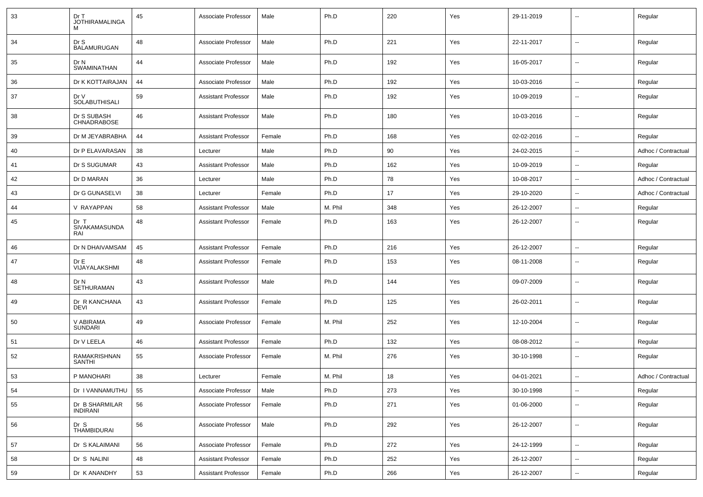| 33 | Dr T<br><b>JOTHIRAMALINGA</b><br>M   | 45 | Associate Professor        | Male   | Ph.D    | 220 | Yes | 29-11-2019 |                          | Regular             |
|----|--------------------------------------|----|----------------------------|--------|---------|-----|-----|------------|--------------------------|---------------------|
| 34 | Dr S<br>BALAMURUGAN                  | 48 | Associate Professor        | Male   | Ph.D    | 221 | Yes | 22-11-2017 | $\overline{\phantom{a}}$ | Regular             |
| 35 | Dr N<br>SWAMINATHAN                  | 44 | Associate Professor        | Male   | Ph.D    | 192 | Yes | 16-05-2017 | $\overline{\phantom{a}}$ | Regular             |
| 36 | Dr K KOTTAIRAJAN                     | 44 | Associate Professor        | Male   | Ph.D    | 192 | Yes | 10-03-2016 | $\overline{\phantom{a}}$ | Regular             |
| 37 | Dr V<br>SOLABUTHISALI                | 59 | <b>Assistant Professor</b> | Male   | Ph.D    | 192 | Yes | 10-09-2019 | $\overline{\phantom{a}}$ | Regular             |
| 38 | Dr S SUBASH<br>CHNADRABOSE           | 46 | <b>Assistant Professor</b> | Male   | Ph.D    | 180 | Yes | 10-03-2016 | $\overline{\phantom{a}}$ | Regular             |
| 39 | Dr M JEYABRABHA                      | 44 | <b>Assistant Professor</b> | Female | Ph.D    | 168 | Yes | 02-02-2016 | $\overline{\phantom{a}}$ | Regular             |
| 40 | Dr P ELAVARASAN                      | 38 | Lecturer                   | Male   | Ph.D    | 90  | Yes | 24-02-2015 | $\overline{\phantom{a}}$ | Adhoc / Contractual |
| 41 | Dr S SUGUMAR                         | 43 | <b>Assistant Professor</b> | Male   | Ph.D    | 162 | Yes | 10-09-2019 | --                       | Regular             |
| 42 | Dr D MARAN                           | 36 | Lecturer                   | Male   | Ph.D    | 78  | Yes | 10-08-2017 | $\overline{\phantom{a}}$ | Adhoc / Contractual |
| 43 | Dr G GUNASELVI                       | 38 | Lecturer                   | Female | Ph.D    | 17  | Yes | 29-10-2020 | $\sim$                   | Adhoc / Contractual |
| 44 | V RAYAPPAN                           | 58 | <b>Assistant Professor</b> | Male   | M. Phil | 348 | Yes | 26-12-2007 | $\overline{\phantom{a}}$ | Regular             |
| 45 | Dr T<br>SIVAKAMASUNDA<br>RAI         | 48 | <b>Assistant Professor</b> | Female | Ph.D    | 163 | Yes | 26-12-2007 | $\overline{\phantom{a}}$ | Regular             |
| 46 | Dr N DHAIVAMSAM                      | 45 | <b>Assistant Professor</b> | Female | Ph.D    | 216 | Yes | 26-12-2007 | $\overline{\phantom{a}}$ | Regular             |
| 47 | DrE<br>VIJAYALAKSHMI                 | 48 | <b>Assistant Professor</b> | Female | Ph.D    | 153 | Yes | 08-11-2008 | --                       | Regular             |
| 48 | Dr N<br><b>SETHURAMAN</b>            | 43 | <b>Assistant Professor</b> | Male   | Ph.D    | 144 | Yes | 09-07-2009 | $\overline{\phantom{a}}$ | Regular             |
| 49 | Dr R KANCHANA<br><b>DEVI</b>         | 43 | <b>Assistant Professor</b> | Female | Ph.D    | 125 | Yes | 26-02-2011 | $\overline{\phantom{a}}$ | Regular             |
| 50 | V ABIRAMA<br>SUNDARI                 | 49 | Associate Professor        | Female | M. Phil | 252 | Yes | 12-10-2004 | $\overline{\phantom{a}}$ | Regular             |
| 51 | Dr V LEELA                           | 46 | <b>Assistant Professor</b> | Female | Ph.D    | 132 | Yes | 08-08-2012 | $\overline{\phantom{a}}$ | Regular             |
| 52 | <b>RAMAKRISHNAN</b><br><b>SANTHI</b> | 55 | Associate Professor        | Female | M. Phil | 276 | Yes | 30-10-1998 | $\overline{\phantom{a}}$ | Regular             |
| 53 | P MANOHARI                           | 38 | Lecturer                   | Female | M. Phil | 18  | Yes | 04-01-2021 | $\overline{\phantom{a}}$ | Adhoc / Contractual |
| 54 | Dr I VANNAMUTHU                      | 55 | Associate Professor        | Male   | Ph.D    | 273 | Yes | 30-10-1998 | $\overline{\phantom{a}}$ | Regular             |
| 55 | Dr B SHARMILAR<br>INDIRANI           | 56 | Associate Professor        | Female | Ph.D    | 271 | Yes | 01-06-2000 | Щ,                       | Regular             |
| 56 | Dr S<br>THAMBIDURAI                  | 56 | Associate Professor        | Male   | Ph.D    | 292 | Yes | 26-12-2007 | Ц.                       | Regular             |
| 57 | Dr S KALAIMANI                       | 56 | Associate Professor        | Female | Ph.D    | 272 | Yes | 24-12-1999 | Щ,                       | Regular             |
| 58 | Dr S NALINI                          | 48 | <b>Assistant Professor</b> | Female | Ph.D    | 252 | Yes | 26-12-2007 | Ξ.                       | Regular             |
| 59 | Dr K ANANDHY                         | 53 | <b>Assistant Professor</b> | Female | Ph.D    | 266 | Yes | 26-12-2007 | $\overline{\phantom{a}}$ | Regular             |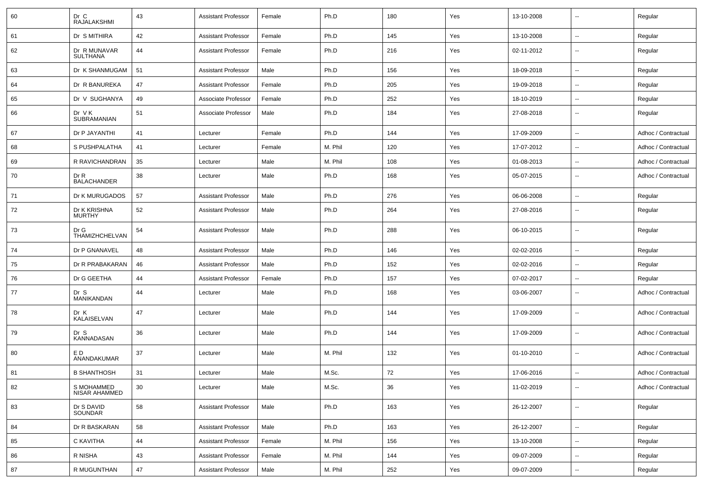| 60 | Dr C<br>RAJALAKSHMI                | 43 | <b>Assistant Professor</b> | Female | Ph.D    | 180 | Yes | 13-10-2008 | ۰.                       | Regular             |
|----|------------------------------------|----|----------------------------|--------|---------|-----|-----|------------|--------------------------|---------------------|
| 61 | Dr S MITHIRA                       | 42 | <b>Assistant Professor</b> | Female | Ph.D    | 145 | Yes | 13-10-2008 | $\overline{\phantom{a}}$ | Regular             |
| 62 | Dr R MUNAVAR<br><b>SULTHANA</b>    | 44 | <b>Assistant Professor</b> | Female | Ph.D    | 216 | Yes | 02-11-2012 | $\overline{a}$           | Regular             |
| 63 | Dr K SHANMUGAM                     | 51 | <b>Assistant Professor</b> | Male   | Ph.D    | 156 | Yes | 18-09-2018 | Ξ.                       | Regular             |
| 64 | Dr R BANUREKA                      | 47 | <b>Assistant Professor</b> | Female | Ph.D    | 205 | Yes | 19-09-2018 | --                       | Regular             |
| 65 | Dr V SUGHANYA                      | 49 | Associate Professor        | Female | Ph.D    | 252 | Yes | 18-10-2019 | $\sim$                   | Regular             |
| 66 | Dr VK<br>SUBRAMANIAN               | 51 | Associate Professor        | Male   | Ph.D    | 184 | Yes | 27-08-2018 | $\overline{a}$           | Regular             |
| 67 | Dr P JAYANTHI                      | 41 | Lecturer                   | Female | Ph.D    | 144 | Yes | 17-09-2009 | $\overline{\phantom{a}}$ | Adhoc / Contractual |
| 68 | S PUSHPALATHA                      | 41 | Lecturer                   | Female | M. Phil | 120 | Yes | 17-07-2012 | --                       | Adhoc / Contractual |
| 69 | R RAVICHANDRAN                     | 35 | Lecturer                   | Male   | M. Phil | 108 | Yes | 01-08-2013 | --                       | Adhoc / Contractual |
| 70 | Dr R<br><b>BALACHANDER</b>         | 38 | Lecturer                   | Male   | Ph.D    | 168 | Yes | 05-07-2015 | --                       | Adhoc / Contractual |
| 71 | Dr K MURUGADOS                     | 57 | <b>Assistant Professor</b> | Male   | Ph.D    | 276 | Yes | 06-06-2008 | u.                       | Regular             |
| 72 | Dr K KRISHNA<br><b>MURTHY</b>      | 52 | <b>Assistant Professor</b> | Male   | Ph.D    | 264 | Yes | 27-08-2016 | --                       | Regular             |
| 73 | Dr G<br>THAMIZHCHELVAN             | 54 | <b>Assistant Professor</b> | Male   | Ph.D    | 288 | Yes | 06-10-2015 | --                       | Regular             |
| 74 | Dr P GNANAVEL                      | 48 | <b>Assistant Professor</b> | Male   | Ph.D    | 146 | Yes | 02-02-2016 | --                       | Regular             |
| 75 | Dr R PRABAKARAN                    | 46 | <b>Assistant Professor</b> | Male   | Ph.D    | 152 | Yes | 02-02-2016 | --                       | Regular             |
| 76 | Dr G GEETHA                        | 44 | <b>Assistant Professor</b> | Female | Ph.D    | 157 | Yes | 07-02-2017 | u.                       | Regular             |
| 77 | Dr S<br>MANIKANDAN                 | 44 | Lecturer                   | Male   | Ph.D    | 168 | Yes | 03-06-2007 | $\overline{\phantom{a}}$ | Adhoc / Contractual |
| 78 | Dr K<br>KALAISELVAN                | 47 | Lecturer                   | Male   | Ph.D    | 144 | Yes | 17-09-2009 | $\overline{\phantom{a}}$ | Adhoc / Contractual |
| 79 | Dr S<br>KANNADASAN                 | 36 | Lecturer                   | Male   | Ph.D    | 144 | Yes | 17-09-2009 | u.                       | Adhoc / Contractual |
| 80 | ED.<br>ANANDAKUMAR                 | 37 | Lecturer                   | Male   | M. Phil | 132 | Yes | 01-10-2010 | $\overline{\phantom{a}}$ | Adhoc / Contractual |
| 81 | <b>B SHANTHOSH</b>                 | 31 | Lecturer                   | Male   | M.Sc.   | 72  | Yes | 17-06-2016 | Ξ.                       | Adhoc / Contractual |
| 82 | S MOHAMMED<br><b>NISAR AHAMMED</b> | 30 | Lecturer                   | Male   | M.Sc.   | 36  | Yes | 11-02-2019 | $\overline{\phantom{a}}$ | Adhoc / Contractual |
| 83 | Dr S DAVID<br>SOUNDAR              | 58 | <b>Assistant Professor</b> | Male   | Ph.D    | 163 | Yes | 26-12-2007 | Ξ.                       | Regular             |
| 84 | Dr R BASKARAN                      | 58 | <b>Assistant Professor</b> | Male   | Ph.D    | 163 | Yes | 26-12-2007 | Ξ.                       | Regular             |
| 85 | C KAVITHA                          | 44 | <b>Assistant Professor</b> | Female | M. Phil | 156 | Yes | 13-10-2008 | Ξ.                       | Regular             |
| 86 | R NISHA                            | 43 | <b>Assistant Professor</b> | Female | M. Phil | 144 | Yes | 09-07-2009 | Ξ.                       | Regular             |
| 87 | R MUGUNTHAN                        | 47 | <b>Assistant Professor</b> | Male   | M. Phil | 252 | Yes | 09-07-2009 | Ξ.                       | Regular             |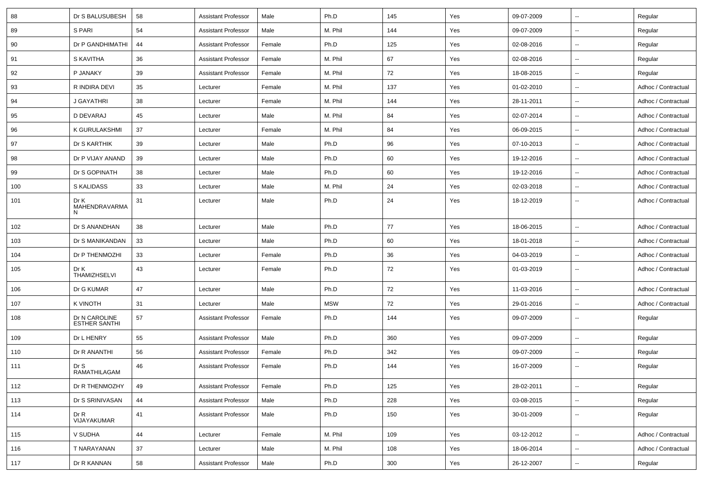| 88  | Dr S BALUSUBESH                       | 58 | <b>Assistant Professor</b> | Male   | Ph.D       | 145 | Yes | 09-07-2009 | $\overline{\phantom{a}}$ | Regular             |
|-----|---------------------------------------|----|----------------------------|--------|------------|-----|-----|------------|--------------------------|---------------------|
| 89  | S PARI                                | 54 | <b>Assistant Professor</b> | Male   | M. Phil    | 144 | Yes | 09-07-2009 | $\overline{\phantom{a}}$ | Regular             |
| 90  | Dr P GANDHIMATHI                      | 44 | <b>Assistant Professor</b> | Female | Ph.D       | 125 | Yes | 02-08-2016 | $\overline{\phantom{a}}$ | Regular             |
| 91  | S KAVITHA                             | 36 | <b>Assistant Professor</b> | Female | M. Phil    | 67  | Yes | 02-08-2016 | $\overline{\phantom{a}}$ | Regular             |
| 92  | P JANAKY                              | 39 | <b>Assistant Professor</b> | Female | M. Phil    | 72  | Yes | 18-08-2015 | $\overline{\phantom{a}}$ | Regular             |
| 93  | R INDIRA DEVI                         | 35 | Lecturer                   | Female | M. Phil    | 137 | Yes | 01-02-2010 | $\sim$                   | Adhoc / Contractual |
| 94  | J GAYATHRI                            | 38 | Lecturer                   | Female | M. Phil    | 144 | Yes | 28-11-2011 | $\sim$                   | Adhoc / Contractual |
| 95  | D DEVARAJ                             | 45 | Lecturer                   | Male   | M. Phil    | 84  | Yes | 02-07-2014 | $\overline{\phantom{a}}$ | Adhoc / Contractual |
| 96  | K GURULAKSHMI                         | 37 | Lecturer                   | Female | M. Phil    | 84  | Yes | 06-09-2015 | $\overline{\phantom{a}}$ | Adhoc / Contractual |
| 97  | Dr S KARTHIK                          | 39 | Lecturer                   | Male   | Ph.D       | 96  | Yes | 07-10-2013 | $\overline{\phantom{a}}$ | Adhoc / Contractual |
| 98  | Dr P VIJAY ANAND                      | 39 | Lecturer                   | Male   | Ph.D       | 60  | Yes | 19-12-2016 | $\overline{\phantom{a}}$ | Adhoc / Contractual |
| 99  | Dr S GOPINATH                         | 38 | Lecturer                   | Male   | Ph.D       | 60  | Yes | 19-12-2016 | $\sim$                   | Adhoc / Contractual |
| 100 | <b>S KALIDASS</b>                     | 33 | Lecturer                   | Male   | M. Phil    | 24  | Yes | 02-03-2018 | $\sim$                   | Adhoc / Contractual |
| 101 | Dr K<br>MAHENDRAVARMA<br>N            | 31 | Lecturer                   | Male   | Ph.D       | 24  | Yes | 18-12-2019 | $\overline{\phantom{a}}$ | Adhoc / Contractual |
| 102 | Dr S ANANDHAN                         | 38 | Lecturer                   | Male   | Ph.D       | 77  | Yes | 18-06-2015 | $\sim$                   | Adhoc / Contractual |
| 103 | Dr S MANIKANDAN                       | 33 | Lecturer                   | Male   | Ph.D       | 60  | Yes | 18-01-2018 | $\overline{\phantom{a}}$ | Adhoc / Contractual |
| 104 | Dr P THENMOZHI                        | 33 | Lecturer                   | Female | Ph.D       | 36  | Yes | 04-03-2019 | $\overline{\phantom{a}}$ | Adhoc / Contractual |
| 105 | Dr K<br><b>THAMIZHSELVI</b>           | 43 | Lecturer                   | Female | Ph.D       | 72  | Yes | 01-03-2019 | $\overline{\phantom{a}}$ | Adhoc / Contractual |
| 106 | Dr G KUMAR                            | 47 | Lecturer                   | Male   | Ph.D       | 72  | Yes | 11-03-2016 | $\sim$                   | Adhoc / Contractual |
| 107 | <b>K VINOTH</b>                       | 31 | Lecturer                   | Male   | <b>MSW</b> | 72  | Yes | 29-01-2016 | $\sim$                   | Adhoc / Contractual |
| 108 | Dr N CAROLINE<br><b>ESTHER SANTHI</b> | 57 | <b>Assistant Professor</b> | Female | Ph.D       | 144 | Yes | 09-07-2009 | $\sim$                   | Regular             |
| 109 | Dr L HENRY                            | 55 | <b>Assistant Professor</b> | Male   | Ph.D       | 360 | Yes | 09-07-2009 | $\overline{\phantom{a}}$ | Regular             |
| 110 | Dr R ANANTHI                          | 56 | <b>Assistant Professor</b> | Female | Ph.D       | 342 | Yes | 09-07-2009 | $\sim$                   | Regular             |
| 111 | Dr S<br>RAMATHILAGAM                  | 46 | <b>Assistant Professor</b> | Female | Ph.D       | 144 | Yes | 16-07-2009 | $\overline{\phantom{a}}$ | Regular             |
| 112 | Dr R THENMOZHY                        | 49 | <b>Assistant Professor</b> | Female | Ph.D       | 125 | Yes | 28-02-2011 | $\overline{\phantom{a}}$ | Regular             |
| 113 | Dr S SRINIVASAN                       | 44 | <b>Assistant Professor</b> | Male   | Ph.D       | 228 | Yes | 03-08-2015 | $\overline{\phantom{a}}$ | Regular             |
| 114 | Dr R<br>VIJAYAKUMAR                   | 41 | <b>Assistant Professor</b> | Male   | Ph.D       | 150 | Yes | 30-01-2009 | $\sim$                   | Regular             |
| 115 | V SUDHA                               | 44 | Lecturer                   | Female | M. Phil    | 109 | Yes | 03-12-2012 | $\sim$                   | Adhoc / Contractual |
| 116 | T NARAYANAN                           | 37 | Lecturer                   | Male   | M. Phil    | 108 | Yes | 18-06-2014 | $\overline{\phantom{a}}$ | Adhoc / Contractual |
| 117 | Dr R KANNAN                           | 58 | <b>Assistant Professor</b> | Male   | Ph.D       | 300 | Yes | 26-12-2007 | $\sim$                   | Regular             |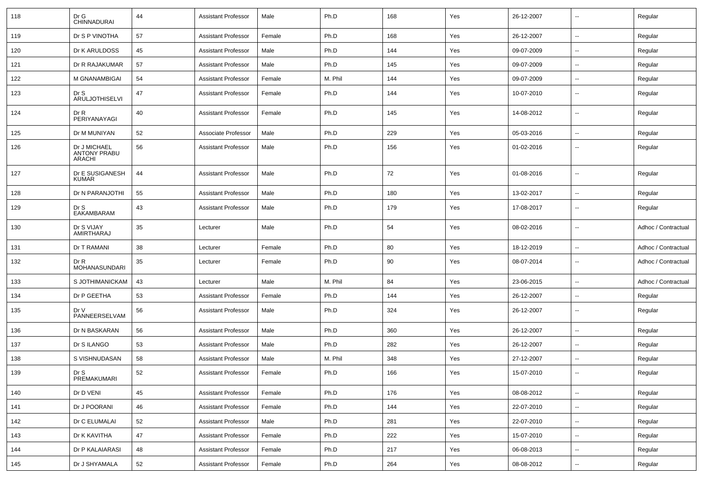| 118 | Dr G<br>CHINNADURAI                           | 44 | <b>Assistant Professor</b> | Male   | Ph.D    | 168 | Yes | 26-12-2007 |                          | Regular             |
|-----|-----------------------------------------------|----|----------------------------|--------|---------|-----|-----|------------|--------------------------|---------------------|
| 119 | Dr S P VINOTHA                                | 57 | <b>Assistant Professor</b> | Female | Ph.D    | 168 | Yes | 26-12-2007 | ⊷.                       | Regular             |
| 120 | Dr K ARULDOSS                                 | 45 | <b>Assistant Professor</b> | Male   | Ph.D    | 144 | Yes | 09-07-2009 | -−                       | Regular             |
| 121 | Dr R RAJAKUMAR                                | 57 | <b>Assistant Professor</b> | Male   | Ph.D    | 145 | Yes | 09-07-2009 | -−                       | Regular             |
| 122 | M GNANAMBIGAI                                 | 54 | <b>Assistant Professor</b> | Female | M. Phil | 144 | Yes | 09-07-2009 | --                       | Regular             |
| 123 | Dr S<br>ARULJOTHISELVI                        | 47 | <b>Assistant Professor</b> | Female | Ph.D    | 144 | Yes | 10-07-2010 | $\overline{\phantom{a}}$ | Regular             |
| 124 | Dr R<br>PERIYANAYAGI                          | 40 | <b>Assistant Professor</b> | Female | Ph.D    | 145 | Yes | 14-08-2012 | $\overline{\phantom{a}}$ | Regular             |
| 125 | Dr M MUNIYAN                                  | 52 | Associate Professor        | Male   | Ph.D    | 229 | Yes | 05-03-2016 | $\sim$                   | Regular             |
| 126 | Dr J MICHAEL<br><b>ANTONY PRABU</b><br>ARACHI | 56 | <b>Assistant Professor</b> | Male   | Ph.D    | 156 | Yes | 01-02-2016 | $\overline{\phantom{a}}$ | Regular             |
| 127 | Dr E SUSIGANESH<br><b>KUMAR</b>               | 44 | <b>Assistant Professor</b> | Male   | Ph.D    | 72  | Yes | 01-08-2016 | $\overline{\phantom{a}}$ | Regular             |
| 128 | Dr N PARANJOTHI                               | 55 | <b>Assistant Professor</b> | Male   | Ph.D    | 180 | Yes | 13-02-2017 | ⊷.                       | Regular             |
| 129 | Dr S<br><b>EAKAMBARAM</b>                     | 43 | <b>Assistant Professor</b> | Male   | Ph.D    | 179 | Yes | 17-08-2017 | $\overline{\phantom{a}}$ | Regular             |
| 130 | Dr S VIJAY<br>AMIRTHARAJ                      | 35 | Lecturer                   | Male   | Ph.D    | 54  | Yes | 08-02-2016 | н.                       | Adhoc / Contractual |
| 131 | Dr T RAMANI                                   | 38 | Lecturer                   | Female | Ph.D    | 80  | Yes | 18-12-2019 | ⊷.                       | Adhoc / Contractual |
| 132 | Dr R<br>MOHANASUNDARI                         | 35 | Lecturer                   | Female | Ph.D    | 90  | Yes | 08-07-2014 | $\overline{\phantom{a}}$ | Adhoc / Contractual |
| 133 | S JOTHIMANICKAM                               | 43 | Lecturer                   | Male   | M. Phil | 84  | Yes | 23-06-2015 | ⊷.                       | Adhoc / Contractual |
| 134 | Dr P GEETHA                                   | 53 | <b>Assistant Professor</b> | Female | Ph.D    | 144 | Yes | 26-12-2007 | -−                       | Regular             |
| 135 | Dr V<br>PANNEERSELVAM                         | 56 | <b>Assistant Professor</b> | Male   | Ph.D    | 324 | Yes | 26-12-2007 | $\overline{\phantom{a}}$ | Regular             |
| 136 | Dr N BASKARAN                                 | 56 | <b>Assistant Professor</b> | Male   | Ph.D    | 360 | Yes | 26-12-2007 | $\overline{\phantom{a}}$ | Regular             |
| 137 | Dr S ILANGO                                   | 53 | <b>Assistant Professor</b> | Male   | Ph.D    | 282 | Yes | 26-12-2007 | --                       | Regular             |
| 138 | S VISHNUDASAN                                 | 58 | <b>Assistant Professor</b> | Male   | M. Phil | 348 | Yes | 27-12-2007 | $\overline{\phantom{a}}$ | Regular             |
| 139 | Dr S<br>PREMAKUMARI                           | 52 | <b>Assistant Professor</b> | Female | Ph.D    | 166 | Yes | 15-07-2010 | $\overline{\phantom{a}}$ | Regular             |
| 140 | Dr D VENI                                     | 45 | <b>Assistant Professor</b> | Female | Ph.D    | 176 | Yes | 08-08-2012 | $\sim$                   | Regular             |
| 141 | Dr J POORANI                                  | 46 | <b>Assistant Professor</b> | Female | Ph.D    | 144 | Yes | 22-07-2010 | н.                       | Regular             |
| 142 | Dr C ELUMALAI                                 | 52 | <b>Assistant Professor</b> | Male   | Ph.D    | 281 | Yes | 22-07-2010 | ₩,                       | Regular             |
| 143 | Dr K KAVITHA                                  | 47 | <b>Assistant Professor</b> | Female | Ph.D    | 222 | Yes | 15-07-2010 | $\overline{\phantom{a}}$ | Regular             |
| 144 | Dr P KALAIARASI                               | 48 | <b>Assistant Professor</b> | Female | Ph.D    | 217 | Yes | 06-08-2013 | н.                       | Regular             |
| 145 | Dr J SHYAMALA                                 | 52 | <b>Assistant Professor</b> | Female | Ph.D    | 264 | Yes | 08-08-2012 | $\sim$                   | Regular             |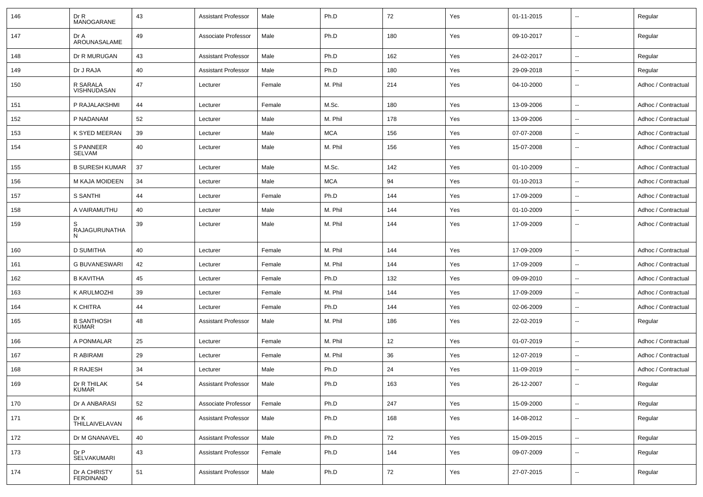| 146 | Dr R<br>MANOGARANE                | 43 | <b>Assistant Professor</b> | Male   | Ph.D       | 72  | Yes | 01-11-2015 | $\overline{\phantom{a}}$ | Regular             |
|-----|-----------------------------------|----|----------------------------|--------|------------|-----|-----|------------|--------------------------|---------------------|
| 147 | Dr A<br>AROUNASALAME              | 49 | Associate Professor        | Male   | Ph.D       | 180 | Yes | 09-10-2017 | $\sim$                   | Regular             |
| 148 | Dr R MURUGAN                      | 43 | <b>Assistant Professor</b> | Male   | Ph.D       | 162 | Yes | 24-02-2017 | $\sim$                   | Regular             |
| 149 | Dr J RAJA                         | 40 | <b>Assistant Professor</b> | Male   | Ph.D       | 180 | Yes | 29-09-2018 | $\sim$                   | Regular             |
| 150 | R SARALA<br>VISHNUDASAN           | 47 | Lecturer                   | Female | M. Phil    | 214 | Yes | 04-10-2000 | $\sim$                   | Adhoc / Contractual |
| 151 | P RAJALAKSHMI                     | 44 | Lecturer                   | Female | M.Sc.      | 180 | Yes | 13-09-2006 | $\sim$                   | Adhoc / Contractual |
| 152 | P NADANAM                         | 52 | Lecturer                   | Male   | M. Phil    | 178 | Yes | 13-09-2006 | $\overline{\phantom{a}}$ | Adhoc / Contractual |
| 153 | K SYED MEERAN                     | 39 | Lecturer                   | Male   | <b>MCA</b> | 156 | Yes | 07-07-2008 | $\mathbf{u}$             | Adhoc / Contractual |
| 154 | S PANNEER<br>SELVAM               | 40 | Lecturer                   | Male   | M. Phil    | 156 | Yes | 15-07-2008 | $\sim$                   | Adhoc / Contractual |
| 155 | <b>B SURESH KUMAR</b>             | 37 | Lecturer                   | Male   | M.Sc.      | 142 | Yes | 01-10-2009 | $\sim$                   | Adhoc / Contractual |
| 156 | M KAJA MOIDEEN                    | 34 | Lecturer                   | Male   | <b>MCA</b> | 94  | Yes | 01-10-2013 | $\sim$                   | Adhoc / Contractual |
| 157 | <b>S SANTHI</b>                   | 44 | Lecturer                   | Female | Ph.D       | 144 | Yes | 17-09-2009 | $\overline{\phantom{a}}$ | Adhoc / Contractual |
| 158 | A VAIRAMUTHU                      | 40 | Lecturer                   | Male   | M. Phil    | 144 | Yes | 01-10-2009 | $\sim$                   | Adhoc / Contractual |
| 159 | RAJAGURUNATHA<br>N                | 39 | Lecturer                   | Male   | M. Phil    | 144 | Yes | 17-09-2009 | $\overline{\phantom{a}}$ | Adhoc / Contractual |
| 160 | <b>D SUMITHA</b>                  | 40 | Lecturer                   | Female | M. Phil    | 144 | Yes | 17-09-2009 | $\sim$                   | Adhoc / Contractual |
| 161 | <b>G BUVANESWARI</b>              | 42 | Lecturer                   | Female | M. Phil    | 144 | Yes | 17-09-2009 |                          | Adhoc / Contractual |
| 162 | <b>B KAVITHA</b>                  | 45 | Lecturer                   | Female | Ph.D       | 132 | Yes | 09-09-2010 | $\mathbf{u}$             | Adhoc / Contractual |
| 163 | K ARULMOZHI                       | 39 | Lecturer                   | Female | M. Phil    | 144 | Yes | 17-09-2009 | $\sim$                   | Adhoc / Contractual |
| 164 | K CHITRA                          | 44 | Lecturer                   | Female | Ph.D       | 144 | Yes | 02-06-2009 | $\sim$                   | Adhoc / Contractual |
| 165 | <b>B SANTHOSH</b><br><b>KUMAR</b> | 48 | <b>Assistant Professor</b> | Male   | M. Phil    | 186 | Yes | 22-02-2019 | $\overline{\phantom{a}}$ | Regular             |
| 166 | A PONMALAR                        | 25 | Lecturer                   | Female | M. Phil    | 12  | Yes | 01-07-2019 | $\overline{\phantom{a}}$ | Adhoc / Contractual |
| 167 | R ABIRAMI                         | 29 | Lecturer                   | Female | M. Phil    | 36  | Yes | 12-07-2019 | $\overline{\phantom{a}}$ | Adhoc / Contractual |
| 168 | R RAJESH                          | 34 | Lecturer                   | Male   | Ph.D       | 24  | Yes | 11-09-2019 | $\overline{\phantom{a}}$ | Adhoc / Contractual |
| 169 | Dr R THILAK<br><b>KUMAR</b>       | 54 | Assistant Professor        | Male   | Ph.D       | 163 | Yes | 26-12-2007 |                          | Regular             |
| 170 | Dr A ANBARASI                     | 52 | Associate Professor        | Female | Ph.D       | 247 | Yes | 15-09-2000 | $\overline{\phantom{a}}$ | Regular             |
| 171 | Dr K<br>THILLAIVELAVAN            | 46 | <b>Assistant Professor</b> | Male   | Ph.D       | 168 | Yes | 14-08-2012 | $\overline{\phantom{a}}$ | Regular             |
| 172 | Dr M GNANAVEL                     | 40 | <b>Assistant Professor</b> | Male   | Ph.D       | 72  | Yes | 15-09-2015 | $\overline{\phantom{a}}$ | Regular             |
| 173 | Dr P<br>SELVAKUMARI               | 43 | <b>Assistant Professor</b> | Female | Ph.D       | 144 | Yes | 09-07-2009 | $\sim$                   | Regular             |
| 174 | Dr A CHRISTY<br>FERDINAND         | 51 | <b>Assistant Professor</b> | Male   | Ph.D       | 72  | Yes | 27-07-2015 | $\sim$                   | Regular             |